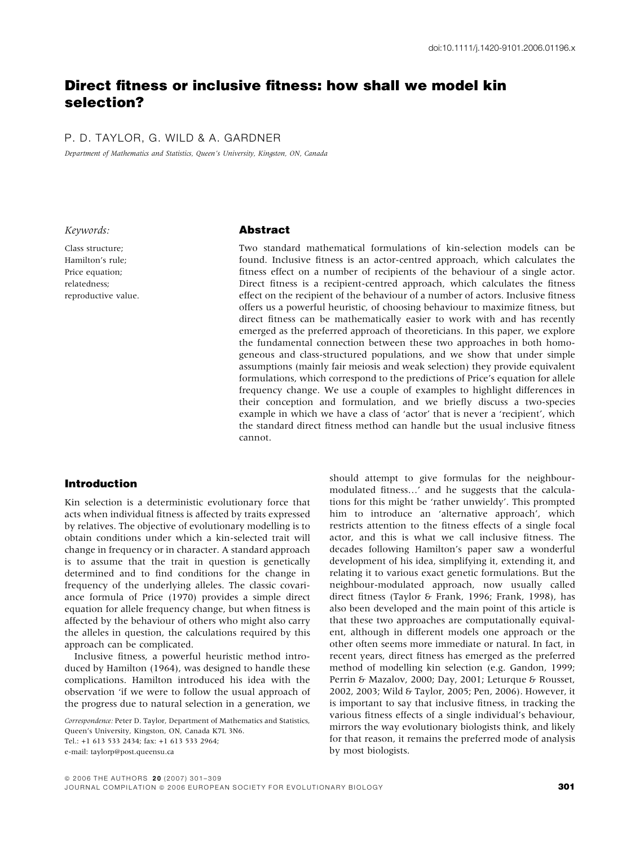# Direct fitness or inclusive fitness: how shall we model kin selection?

## P. D. TAYLOR, G. WILD & A. GARDNER

Department of Mathematics and Statistics, Queen's University, Kingston, ON, Canada

#### Keywords:

Class structure; Hamilton's rule; Price equation; relatedness; reproductive value.

# Abstract

Two standard mathematical formulations of kin-selection models can be found. Inclusive fitness is an actor-centred approach, which calculates the fitness effect on a number of recipients of the behaviour of a single actor. Direct fitness is a recipient-centred approach, which calculates the fitness effect on the recipient of the behaviour of a number of actors. Inclusive fitness offers us a powerful heuristic, of choosing behaviour to maximize fitness, but direct fitness can be mathematically easier to work with and has recently emerged as the preferred approach of theoreticians. In this paper, we explore the fundamental connection between these two approaches in both homogeneous and class-structured populations, and we show that under simple assumptions (mainly fair meiosis and weak selection) they provide equivalent formulations, which correspond to the predictions of Price's equation for allele frequency change. We use a couple of examples to highlight differences in their conception and formulation, and we briefly discuss a two-species example in which we have a class of 'actor' that is never a 'recipient', which the standard direct fitness method can handle but the usual inclusive fitness cannot.

# Introduction

Kin selection is a deterministic evolutionary force that acts when individual fitness is affected by traits expressed by relatives. The objective of evolutionary modelling is to obtain conditions under which a kin-selected trait will change in frequency or in character. A standard approach is to assume that the trait in question is genetically determined and to find conditions for the change in frequency of the underlying alleles. The classic covariance formula of Price (1970) provides a simple direct equation for allele frequency change, but when fitness is affected by the behaviour of others who might also carry the alleles in question, the calculations required by this approach can be complicated.

Inclusive fitness, a powerful heuristic method introduced by Hamilton (1964), was designed to handle these complications. Hamilton introduced his idea with the observation 'if we were to follow the usual approach of the progress due to natural selection in a generation, we

Correspondence: Peter D. Taylor, Department of Mathematics and Statistics, Queen's University, Kingston, ON, Canada K7L 3N6. Tel.: +1 613 533 2434; fax: +1 613 533 2964; e-mail: taylorp@post.queensu.ca

should attempt to give formulas for the neighbourmodulated fitness…' and he suggests that the calculations for this might be 'rather unwieldy'. This prompted him to introduce an 'alternative approach', which restricts attention to the fitness effects of a single focal actor, and this is what we call inclusive fitness. The decades following Hamilton's paper saw a wonderful development of his idea, simplifying it, extending it, and relating it to various exact genetic formulations. But the neighbour-modulated approach, now usually called direct fitness (Taylor & Frank, 1996; Frank, 1998), has also been developed and the main point of this article is that these two approaches are computationally equivalent, although in different models one approach or the other often seems more immediate or natural. In fact, in recent years, direct fitness has emerged as the preferred method of modelling kin selection (e.g. Gandon, 1999; Perrin & Mazalov, 2000; Day, 2001; Leturque & Rousset, 2002, 2003; Wild & Taylor, 2005; Pen, 2006). However, it is important to say that inclusive fitness, in tracking the various fitness effects of a single individual's behaviour, mirrors the way evolutionary biologists think, and likely for that reason, it remains the preferred mode of analysis by most biologists.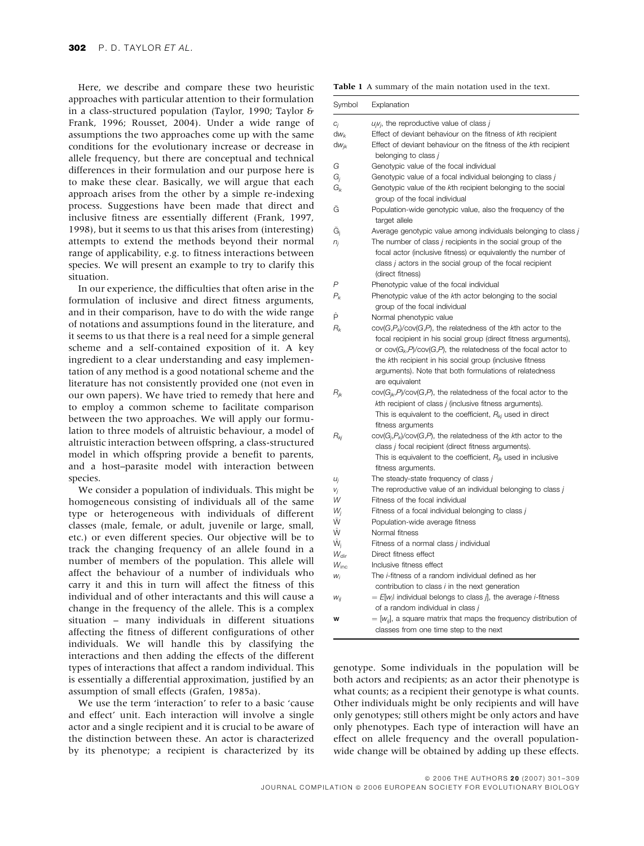Here, we describe and compare these two heuristic approaches with particular attention to their formulation in a class-structured population (Taylor, 1990; Taylor & Frank, 1996; Rousset, 2004). Under a wide range of assumptions the two approaches come up with the same conditions for the evolutionary increase or decrease in allele frequency, but there are conceptual and technical differences in their formulation and our purpose here is to make these clear. Basically, we will argue that each approach arises from the other by a simple re-indexing process. Suggestions have been made that direct and inclusive fitness are essentially different (Frank, 1997, 1998), but it seems to us that this arises from (interesting) attempts to extend the methods beyond their normal range of applicability, e.g. to fitness interactions between species. We will present an example to try to clarify this situation.

In our experience, the difficulties that often arise in the formulation of inclusive and direct fitness arguments, and in their comparison, have to do with the wide range of notations and assumptions found in the literature, and it seems to us that there is a real need for a simple general scheme and a self-contained exposition of it. A key ingredient to a clear understanding and easy implementation of any method is a good notational scheme and the literature has not consistently provided one (not even in our own papers). We have tried to remedy that here and to employ a common scheme to facilitate comparison between the two approaches. We will apply our formulation to three models of altruistic behaviour, a model of altruistic interaction between offspring, a class-structured model in which offspring provide a benefit to parents, and a host–parasite model with interaction between species.

We consider a population of individuals. This might be homogeneous consisting of individuals all of the same type or heterogeneous with individuals of different classes (male, female, or adult, juvenile or large, small, etc.) or even different species. Our objective will be to track the changing frequency of an allele found in a number of members of the population. This allele will affect the behaviour of a number of individuals who carry it and this in turn will affect the fitness of this individual and of other interactants and this will cause a change in the frequency of the allele. This is a complex situation – many individuals in different situations affecting the fitness of different configurations of other individuals. We will handle this by classifying the interactions and then adding the effects of the different types of interactions that affect a random individual. This is essentially a differential approximation, justified by an assumption of small effects (Grafen, 1985a).

We use the term 'interaction' to refer to a basic 'cause and effect' unit. Each interaction will involve a single actor and a single recipient and it is crucial to be aware of the distinction between these. An actor is characterized by its phenotype; a recipient is characterized by its

| <b>Table 1</b> A summary of the main notation used in the text. |  |
|-----------------------------------------------------------------|--|
|-----------------------------------------------------------------|--|

| Symbol           | Explanation                                                                                                                                                                                                                                                                              |
|------------------|------------------------------------------------------------------------------------------------------------------------------------------------------------------------------------------------------------------------------------------------------------------------------------------|
| $C_i$            | $u_i v_i$ , the reproductive value of class j                                                                                                                                                                                                                                            |
| $dw_k$           | Effect of deviant behaviour on the fitness of kth recipient                                                                                                                                                                                                                              |
| $dw_{ik}$        | Effect of deviant behaviour on the fitness of the kth recipient<br>belonging to class j                                                                                                                                                                                                  |
| G                | Genotypic value of the focal individual                                                                                                                                                                                                                                                  |
| G <sub>i</sub>   | Genotypic value of a focal individual belonging to class j                                                                                                                                                                                                                               |
| $G_k$            | Genotypic value of the kth recipient belonging to the social<br>group of the focal individual                                                                                                                                                                                            |
| Ğ                | Population-wide genotypic value, also the frequency of the<br>target allele                                                                                                                                                                                                              |
| Gi               | Average genotypic value among individuals belonging to class j                                                                                                                                                                                                                           |
| n <sub>i</sub>   | The number of class j recipients in the social group of the<br>focal actor (inclusive fitness) or equivalently the number of<br>class j actors in the social group of the focal recipient<br>(direct fitness)                                                                            |
| P                | Phenotypic value of the focal individual                                                                                                                                                                                                                                                 |
| $P_k$            | Phenotypic value of the kth actor belonging to the social                                                                                                                                                                                                                                |
|                  | group of the focal individual                                                                                                                                                                                                                                                            |
| Ê                | Normal phenotypic value                                                                                                                                                                                                                                                                  |
| $R_k$            | $cov(G, P_k)/cov(G, P)$ , the relatedness of the kth actor to the                                                                                                                                                                                                                        |
|                  | focal recipient in his social group (direct fitness arguments),<br>or cov( $G_k$ , $P$ )/cov( $G$ , $P$ ), the relatedness of the focal actor to<br>the kth recipient in his social group (inclusive fitness<br>arguments). Note that both formulations of relatedness<br>are equivalent |
| $R_{ik}$         | $cov(G_{ik}, P)/cov(G, P)$ , the relatedness of the focal actor to the<br>kth recipient of class j (inclusive fitness arguments).<br>This is equivalent to the coefficient, $R_{ki}$ used in direct<br>fitness arguments                                                                 |
| $R_{kj}$         | $cov(G_i, P_k)/cov(G, P)$ , the relatedness of the kth actor to the                                                                                                                                                                                                                      |
|                  | class j focal recipient (direct fitness arguments).                                                                                                                                                                                                                                      |
|                  | This is equivalent to the coefficient, $R_{ik}$ used in inclusive                                                                                                                                                                                                                        |
|                  | fitness arguments.                                                                                                                                                                                                                                                                       |
| $U_j$            | The steady-state frequency of class j                                                                                                                                                                                                                                                    |
| $V_j$            | The reproductive value of an individual belonging to class j                                                                                                                                                                                                                             |
| W                | Fitness of the focal individual                                                                                                                                                                                                                                                          |
| W,<br>Ŵ          | Fitness of a focal individual belonging to class i                                                                                                                                                                                                                                       |
| Ŵ                | Population-wide average fitness                                                                                                                                                                                                                                                          |
| Ŵ,               | Normal fitness                                                                                                                                                                                                                                                                           |
| $W_{\rm dir}$    | Fitness of a normal class j individual<br>Direct fitness effect                                                                                                                                                                                                                          |
| $W_{\text{inc}}$ | Inclusive fitness effect                                                                                                                                                                                                                                                                 |
| $W_i$            | The <i>i</i> -fitness of a random individual defined as her                                                                                                                                                                                                                              |
|                  | contribution to class i in the next generation                                                                                                                                                                                                                                           |
| $W_{ij}$         | $=$ E[w <sub>i</sub>   individual belongs to class $j$ ], the average <i>i</i> -fitness<br>of a random individual in class j                                                                                                                                                             |
| w                | $=[w_{ij}]$ , a square matrix that maps the frequency distribution of<br>classes from one time step to the next                                                                                                                                                                          |

genotype. Some individuals in the population will be both actors and recipients; as an actor their phenotype is what counts; as a recipient their genotype is what counts. Other individuals might be only recipients and will have only genotypes; still others might be only actors and have only phenotypes. Each type of interaction will have an effect on allele frequency and the overall populationwide change will be obtained by adding up these effects.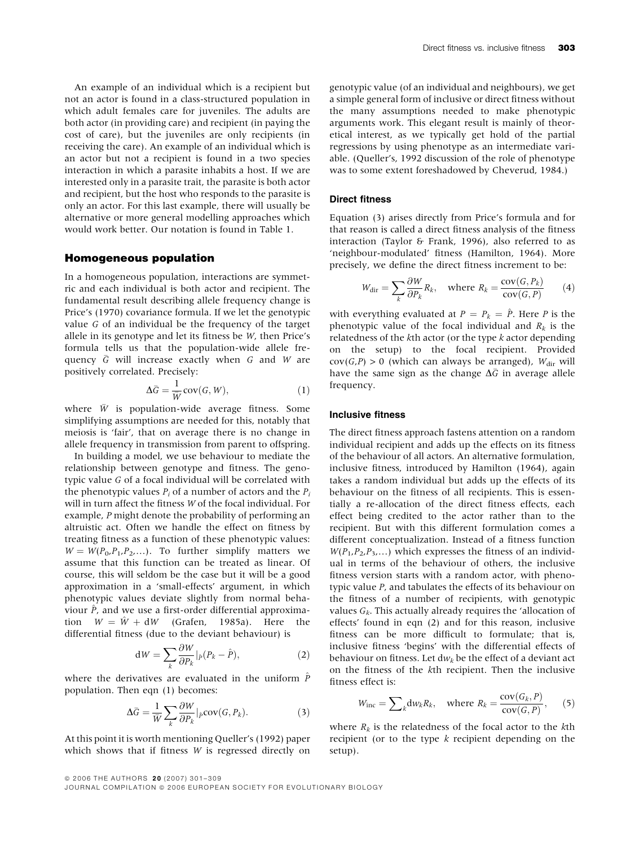An example of an individual which is a recipient but not an actor is found in a class-structured population in which adult females care for juveniles. The adults are both actor (in providing care) and recipient (in paying the cost of care), but the juveniles are only recipients (in receiving the care). An example of an individual which is an actor but not a recipient is found in a two species interaction in which a parasite inhabits a host. If we are interested only in a parasite trait, the parasite is both actor and recipient, but the host who responds to the parasite is only an actor. For this last example, there will usually be alternative or more general modelling approaches which would work better. Our notation is found in Table 1.

## Homogeneous population

In a homogeneous population, interactions are symmetric and each individual is both actor and recipient. The fundamental result describing allele frequency change is Price's (1970) covariance formula. If we let the genotypic value G of an individual be the frequency of the target allele in its genotype and let its fitness be W, then Price's formula tells us that the population-wide allele frequency  $\bar{G}$  will increase exactly when G and W are positively correlated. Precisely:

$$
\Delta \bar{G} = \frac{1}{\bar{W}} \text{cov}(G, W), \tag{1}
$$

where  $\bar{W}$  is population-wide average fitness. Some simplifying assumptions are needed for this, notably that meiosis is 'fair', that on average there is no change in allele frequency in transmission from parent to offspring.

In building a model, we use behaviour to mediate the relationship between genotype and fitness. The genotypic value G of a focal individual will be correlated with the phenotypic values  $P_i$  of a number of actors and the  $P_i$ will in turn affect the fitness W of the focal individual. For example, P might denote the probability of performing an altruistic act. Often we handle the effect on fitness by treating fitness as a function of these phenotypic values:  $W = W(P_0, P_1, P_2, \ldots)$ . To further simplify matters we assume that this function can be treated as linear. Of course, this will seldom be the case but it will be a good approximation in a 'small-effects' argument, in which phenotypic values deviate slightly from normal behaviour  $\hat{P}$ , and we use a first-order differential approximation  $W = \hat{W} + dW$  (Grafen, 1985a). Here the differential fitness (due to the deviant behaviour) is

$$
dW = \sum_{k} \frac{\partial W}{\partial P_k} |_{\hat{P}} (P_k - \hat{P}), \tag{2}
$$

where the derivatives are evaluated in the uniform  $\hat{P}$ population. Then eqn (1) becomes:

$$
\Delta \bar{G} = \frac{1}{\bar{W}} \sum_{k} \frac{\partial W}{\partial P_k} |_{\hat{P}} \text{cov}(G, P_k). \tag{3}
$$

At this point it is worth mentioning Queller's (1992) paper which shows that if fitness  $W$  is regressed directly on genotypic value (of an individual and neighbours), we get a simple general form of inclusive or direct fitness without the many assumptions needed to make phenotypic arguments work. This elegant result is mainly of theoretical interest, as we typically get hold of the partial regressions by using phenotype as an intermediate variable. (Queller's, 1992 discussion of the role of phenotype was to some extent foreshadowed by Cheverud, 1984.)

#### Direct fitness

Equation (3) arises directly from Price's formula and for that reason is called a direct fitness analysis of the fitness interaction (Taylor & Frank, 1996), also referred to as 'neighbour-modulated' fitness (Hamilton, 1964). More precisely, we define the direct fitness increment to be:

$$
W_{\text{dir}} = \sum_{k} \frac{\partial W}{\partial P_k} R_k, \quad \text{where } R_k = \frac{\text{cov}(G, P_k)}{\text{cov}(G, P)} \tag{4}
$$

with everything evaluated at  $P = P_k = \hat{P}$ . Here P is the phenotypic value of the focal individual and  $R_k$  is the relatedness of the kth actor (or the type k actor depending on the setup) to the focal recipient. Provided  $cov(G, P) > 0$  (which can always be arranged),  $W_{\text{dir}}$  will have the same sign as the change  $\Delta \bar{G}$  in average allele frequency.

#### Inclusive fitness

The direct fitness approach fastens attention on a random individual recipient and adds up the effects on its fitness of the behaviour of all actors. An alternative formulation, inclusive fitness, introduced by Hamilton (1964), again takes a random individual but adds up the effects of its behaviour on the fitness of all recipients. This is essentially a re-allocation of the direct fitness effects, each effect being credited to the actor rather than to the recipient. But with this different formulation comes a different conceptualization. Instead of a fitness function  $W(P_1, P_2, P_3, ...)$  which expresses the fitness of an individual in terms of the behaviour of others, the inclusive fitness version starts with a random actor, with phenotypic value P, and tabulates the effects of its behaviour on the fitness of a number of recipients, with genotypic values  $G_k$ . This actually already requires the 'allocation of effects' found in eqn (2) and for this reason, inclusive fitness can be more difficult to formulate; that is, inclusive fitness 'begins' with the differential effects of behaviour on fitness. Let  $dw_k$  be the effect of a deviant act on the fitness of the kth recipient. Then the inclusive fitness effect is:

$$
W_{\text{inc}} = \sum_{k} dw_{k} R_{k}, \quad \text{where } R_{k} = \frac{\text{cov}(G_{k}, P)}{\text{cov}(G, P)}, \quad (5)
$$

where  $R_k$  is the relatedness of the focal actor to the kth recipient (or to the type  $k$  recipient depending on the setup).

ª 2006 THE AUTHORS 2 0 (2007) 301–309

JOURNAL COMPILATION © 2006 EUROPEAN SOCIETY FOR EVOLUTIONARY BIOLOGY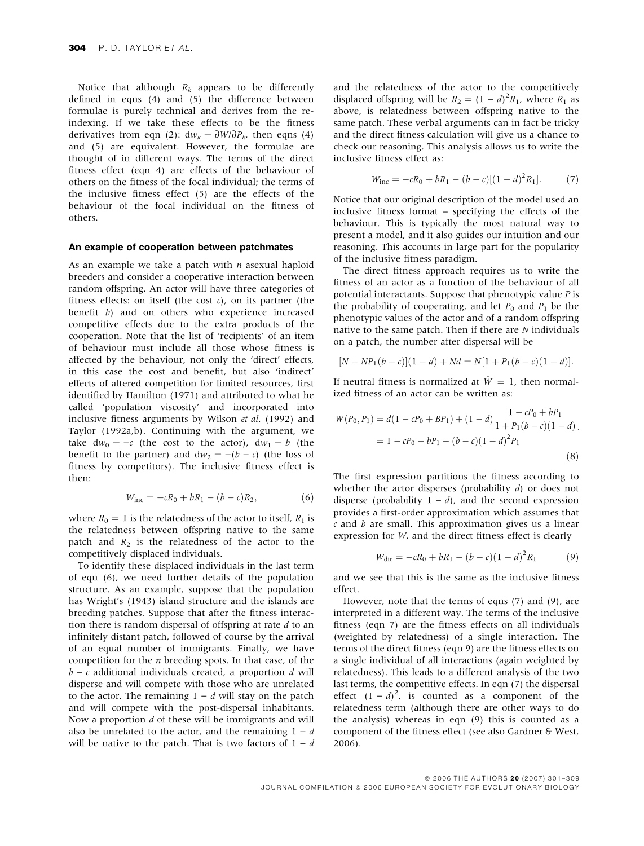Notice that although  $R_k$  appears to be differently defined in eqns (4) and (5) the difference between formulae is purely technical and derives from the reindexing. If we take these effects to be the fitness derivatives from eqn (2):  $dw_k = \partial W/\partial P_k$ , then eqns (4) and (5) are equivalent. However, the formulae are thought of in different ways. The terms of the direct fitness effect (eqn 4) are effects of the behaviour of others on the fitness of the focal individual; the terms of the inclusive fitness effect (5) are the effects of the behaviour of the focal individual on the fitness of others.

#### An example of cooperation between patchmates

As an example we take a patch with  $n$  asexual haploid breeders and consider a cooperative interaction between random offspring. An actor will have three categories of fitness effects: on itself (the cost  $c$ ), on its partner (the benefit b) and on others who experience increased competitive effects due to the extra products of the cooperation. Note that the list of 'recipients' of an item of behaviour must include all those whose fitness is affected by the behaviour, not only the 'direct' effects, in this case the cost and benefit, but also 'indirect' effects of altered competition for limited resources, first identified by Hamilton (1971) and attributed to what he called 'population viscosity' and incorporated into inclusive fitness arguments by Wilson et al. (1992) and Taylor (1992a,b). Continuing with the argument, we take  $dw_0 = -c$  (the cost to the actor),  $dw_1 = b$  (the benefit to the partner) and  $dw_2 = -(b - c)$  (the loss of fitness by competitors). The inclusive fitness effect is then:

$$
W_{\text{inc}} = -cR_0 + bR_1 - (b - c)R_2, \tag{6}
$$

where  $R_0 = 1$  is the relatedness of the actor to itself,  $R_1$  is the relatedness between offspring native to the same patch and  $R_2$  is the relatedness of the actor to the competitively displaced individuals.

To identify these displaced individuals in the last term of eqn (6), we need further details of the population structure. As an example, suppose that the population has Wright's (1943) island structure and the islands are breeding patches. Suppose that after the fitness interaction there is random dispersal of offspring at rate  $d$  to an infinitely distant patch, followed of course by the arrival of an equal number of immigrants. Finally, we have competition for the  $n$  breeding spots. In that case, of the  $b - c$  additional individuals created, a proportion d will disperse and will compete with those who are unrelated to the actor. The remaining  $1 - d$  will stay on the patch and will compete with the post-dispersal inhabitants. Now a proportion  $d$  of these will be immigrants and will also be unrelated to the actor, and the remaining  $1 - d$ will be native to the patch. That is two factors of  $1 - d$  and the relatedness of the actor to the competitively displaced offspring will be  $R_2 = (1 - d)^2 R_1$ , where  $R_1$  as above, is relatedness between offspring native to the same patch. These verbal arguments can in fact be tricky and the direct fitness calculation will give us a chance to check our reasoning. This analysis allows us to write the inclusive fitness effect as:

$$
W_{\text{inc}} = -cR_0 + bR_1 - (b - c)[(1 - d)^2 R_1]. \tag{7}
$$

Notice that our original description of the model used an inclusive fitness format – specifying the effects of the behaviour. This is typically the most natural way to present a model, and it also guides our intuition and our reasoning. This accounts in large part for the popularity of the inclusive fitness paradigm.

The direct fitness approach requires us to write the fitness of an actor as a function of the behaviour of all potential interactants. Suppose that phenotypic value P is the probability of cooperating, and let  $P_0$  and  $P_1$  be the phenotypic values of the actor and of a random offspring native to the same patch. Then if there are N individuals on a patch, the number after dispersal will be

$$
[N + NP1(b - c)](1 - d) + Nd = N[1 + P1(b - c)(1 - d)].
$$

If neutral fitness is normalized at  $\hat{W} = 1$ , then normalized fitness of an actor can be written as:

$$
W(P_0, P_1) = d(1 - cP_0 + BP_1) + (1 - d)\frac{1 - cP_0 + bP_1}{1 + P_1(b - c)(1 - d)}
$$
  
= 1 - cP\_0 + bP\_1 - (b - c)(1 - d)<sup>2</sup>P\_1 (8)

The first expression partitions the fitness according to whether the actor disperses (probability  $d$ ) or does not disperse (probability  $1 - d$ ), and the second expression provides a first-order approximation which assumes that  $c$  and  $b$  are small. This approximation gives us a linear expression for W, and the direct fitness effect is clearly

$$
W_{\text{dir}} = -cR_0 + bR_1 - (b - c)(1 - d)^2 R_1 \tag{9}
$$

and we see that this is the same as the inclusive fitness effect.

However, note that the terms of eqns (7) and (9), are interpreted in a different way. The terms of the inclusive fitness (eqn 7) are the fitness effects on all individuals (weighted by relatedness) of a single interaction. The terms of the direct fitness (eqn 9) are the fitness effects on a single individual of all interactions (again weighted by relatedness). This leads to a different analysis of the two last terms, the competitive effects. In eqn (7) the dispersal effect  $(1 - d)^2$ , is counted as a component of the relatedness term (although there are other ways to do the analysis) whereas in eqn (9) this is counted as a component of the fitness effect (see also Gardner & West, 2006).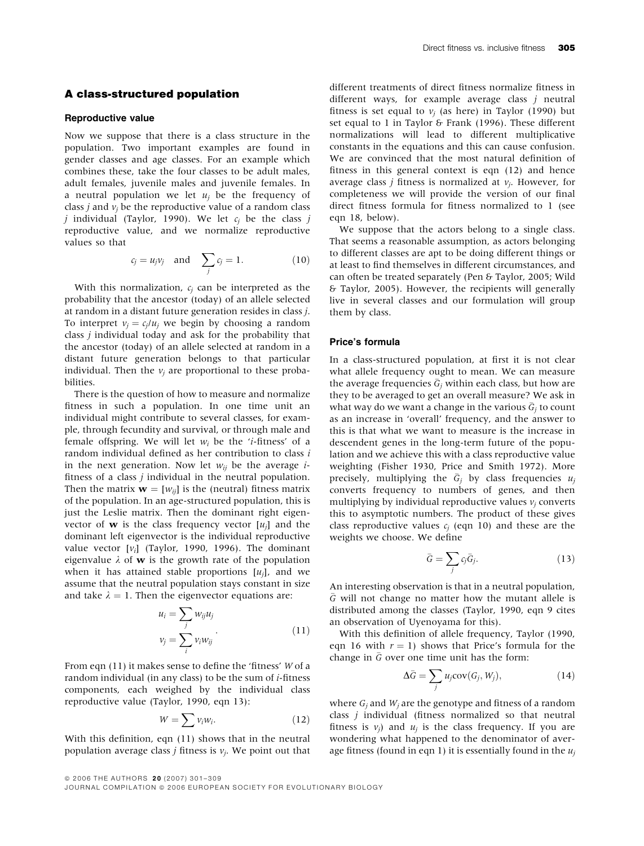## A class-structured population

## Reproductive value

Now we suppose that there is a class structure in the population. Two important examples are found in gender classes and age classes. For an example which combines these, take the four classes to be adult males, adult females, juvenile males and juvenile females. In a neutral population we let  $u_i$  be the frequency of class *j* and  $v_i$  be the reproductive value of a random class *j* individual (Taylor, 1990). We let  $c_i$  be the class *j* reproductive value, and we normalize reproductive values so that

$$
c_j = u_j v_j \quad \text{and} \quad \sum_j c_j = 1. \tag{10}
$$

With this normalization,  $c_i$  can be interpreted as the probability that the ancestor (today) of an allele selected at random in a distant future generation resides in class j. To interpret  $v_i = c_i/u_i$  we begin by choosing a random class j individual today and ask for the probability that the ancestor (today) of an allele selected at random in a distant future generation belongs to that particular individual. Then the  $v_i$  are proportional to these probabilities.

There is the question of how to measure and normalize fitness in such a population. In one time unit an individual might contribute to several classes, for example, through fecundity and survival, or through male and female offspring. We will let  $w_i$  be the '*i*-fitness' of a random individual defined as her contribution to class i in the next generation. Now let  $w_{ij}$  be the average *i*fitness of a class  $j$  individual in the neutral population. Then the matrix  $\mathbf{w} = [w_{ij}]$  is the (neutral) fitness matrix of the population. In an age-structured population, this is just the Leslie matrix. Then the dominant right eigenvector of **w** is the class frequency vector  $[u_i]$  and the dominant left eigenvector is the individual reproductive value vector  $[v_i]$  (Taylor, 1990, 1996). The dominant eigenvalue  $\lambda$  of **w** is the growth rate of the population when it has attained stable proportions  $[u_i]$ , and we assume that the neutral population stays constant in size and take  $\lambda = 1$ . Then the eigenvector equations are:

$$
u_i = \sum_j w_{ij} u_j
$$
  

$$
v_j = \sum_i v_i w_{ij}
$$
 (11)

From eqn (11) it makes sense to define the 'fitness' W of a random individual (in any class) to be the sum of  $i$ -fitness components, each weighed by the individual class reproductive value (Taylor, 1990, eqn 13):

$$
W = \sum v_i w_i. \tag{12}
$$

With this definition, eqn (11) shows that in the neutral population average class *j* fitness is  $v_i$ . We point out that different treatments of direct fitness normalize fitness in different ways, for example average class  $i$  neutral fitness is set equal to  $v_i$  (as here) in Taylor (1990) but set equal to 1 in Taylor & Frank (1996). These different normalizations will lead to different multiplicative constants in the equations and this can cause confusion. We are convinced that the most natural definition of fitness in this general context is eqn (12) and hence average class *j* fitness is normalized at  $v_i$ . However, for completeness we will provide the version of our final direct fitness formula for fitness normalized to 1 (see eqn 18, below).

We suppose that the actors belong to a single class. That seems a reasonable assumption, as actors belonging to different classes are apt to be doing different things or at least to find themselves in different circumstances, and can often be treated separately (Pen & Taylor, 2005; Wild & Taylor, 2005). However, the recipients will generally live in several classes and our formulation will group them by class.

## Price's formula

In a class-structured population, at first it is not clear what allele frequency ought to mean. We can measure the average frequencies  $\bar{G}_j$  within each class, but how are they to be averaged to get an overall measure? We ask in what way do we want a change in the various  $\bar{G}_j$  to count as an increase in 'overall' frequency, and the answer to this is that what we want to measure is the increase in descendent genes in the long-term future of the population and we achieve this with a class reproductive value weighting (Fisher 1930, Price and Smith 1972). More precisely, multiplying the  $\bar{G}_j$  by class frequencies  $u_j$ converts frequency to numbers of genes, and then multiplying by individual reproductive values  $v_i$  converts this to asymptotic numbers. The product of these gives class reproductive values  $c_i$  (eqn 10) and these are the weights we choose. We define

$$
\bar{G} = \sum_{j} c_{j} \bar{G}_{j}.
$$
 (13)

An interesting observation is that in a neutral population,  $\bar{G}$  will not change no matter how the mutant allele is distributed among the classes (Taylor, 1990, eqn 9 cites an observation of Uyenoyama for this).

With this definition of allele frequency, Taylor (1990, eqn 16 with  $r = 1$ ) shows that Price's formula for the change in  $\bar{G}$  over one time unit has the form:

$$
\Delta \bar{G} = \sum_{j} u_j \text{cov}(G_j, W_j), \qquad (14)
$$

where  $G_i$  and  $W_i$  are the genotype and fitness of a random class j individual (fitness normalized so that neutral fitness is  $v_i$ ) and  $u_i$  is the class frequency. If you are wondering what happened to the denominator of average fitness (found in eqn 1) it is essentially found in the  $u_i$ 

ª 2006 THE AUTHORS 2 0 (2007) 301–309

JOURNAL COMPILATION © 2006 EUROPEAN SOCIETY FOR EVOLUTIONARY BIOLOGY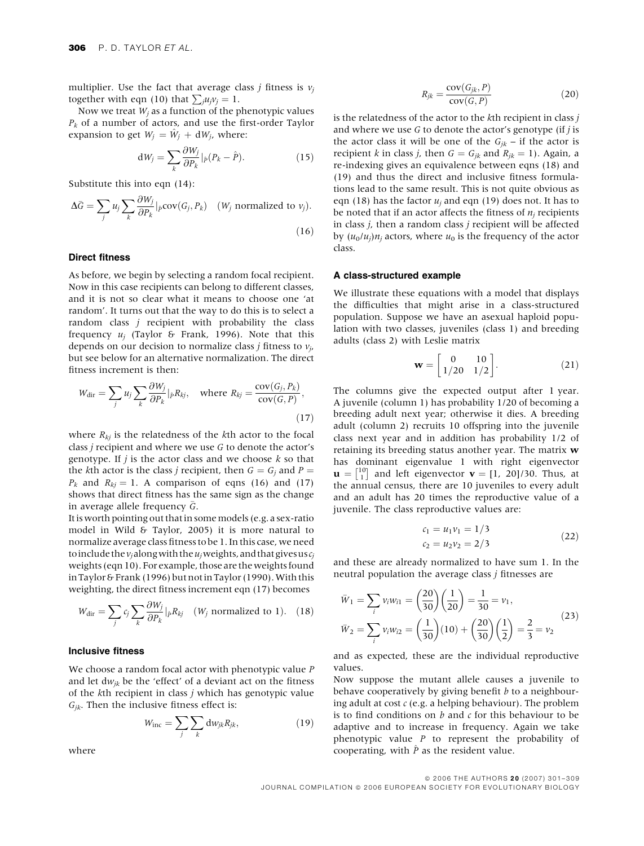multiplier. Use the fact that average class *j* fitness is  $v_i$ together with eqn (10) that  $\sum_{i}u_{i}v_{i} = 1$ .

Now we treat  $W_i$  as a function of the phenotypic values  $P_k$  of a number of actors, and use the first-order Taylor expansion to get  $W_i = \hat{W}_i + dW_i$ , where:

$$
dW_j = \sum_{k} \frac{\partial W_j}{\partial P_k} |_{\hat{P}} (P_k - \hat{P}). \tag{15}
$$

Substitute this into eqn (14):

$$
\Delta \bar{G} = \sum_{j} u_j \sum_{k} \frac{\partial W_j}{\partial P_k} |_{\hat{P}} \text{cov}(G_j, P_k) \quad (W_j \text{ normalized to } v_j).
$$
\n(16)

## Direct fitness

As before, we begin by selecting a random focal recipient. Now in this case recipients can belong to different classes, and it is not so clear what it means to choose one 'at random'. It turns out that the way to do this is to select a random class  $j$  recipient with probability the class frequency  $u_i$  (Taylor & Frank, 1996). Note that this depends on our decision to normalize class *j* fitness to  $v_i$ , but see below for an alternative normalization. The direct fitness increment is then:

$$
W_{\text{dir}} = \sum_{j} u_j \sum_{k} \frac{\partial W_j}{\partial P_k} |_{\hat{P}} R_{kj}, \quad \text{where } R_{kj} = \frac{\text{cov}(G_j, P_k)}{\text{cov}(G, P)},
$$
\n(17)

where  $R_{kj}$  is the relatedness of the kth actor to the focal class  $j$  recipient and where we use  $G$  to denote the actor's genotype. If  $j$  is the actor class and we choose  $k$  so that the kth actor is the class *j* recipient, then  $G = G_i$  and  $P =$  $P_k$  and  $R_{ki} = 1$ . A comparison of eqns (16) and (17) shows that direct fitness has the same sign as the change in average allele frequency  $\bar{G}$ .

It is worth pointing out that in somemodels (e.g. a sex-ratio model in Wild  $\&$  Taylor, 2005) it is more natural to normalize average class fitness to be 1. In this case, we need to include the  $v_i$ along with the  $u_i$  weights, and that gives us  $c_i$ weights (eqn 10). For example, those are the weights found in Taylor & Frank (1996) but notin Taylor (1990).With this weighting, the direct fitness increment eqn (17) becomes

$$
W_{\text{dir}} = \sum_{j} c_j \sum_{k} \frac{\partial W_j}{\partial P_k} |_{\hat{P}} R_{kj} \quad (W_j \text{ normalized to 1}). \quad (18)
$$

#### Inclusive fitness

We choose a random focal actor with phenotypic value  $P$ and let  $dw_{ik}$  be the 'effect' of a deviant act on the fitness of the  $k$ th recipient in class  $j$  which has genotypic value  $G_{ik}$ . Then the inclusive fitness effect is:

$$
W_{\text{inc}} = \sum_{j} \sum_{k} \mathrm{d}w_{jk} R_{jk},\tag{19}
$$

where

$$
R_{jk} = \frac{\text{cov}(G_{jk}, P)}{\text{cov}(G, P)}
$$
(20)

is the relatedness of the actor to the  $k$ th recipient in class  $j$ and where we use  $G$  to denote the actor's genotype (if  $j$  is the actor class it will be one of the  $G_{ik}$  – if the actor is recipient k in class j, then  $G = G_{ik}$  and  $R_{ik} = 1$ ). Again, a re-indexing gives an equivalence between eqns (18) and (19) and thus the direct and inclusive fitness formulations lead to the same result. This is not quite obvious as eqn (18) has the factor  $u_i$  and eqn (19) does not. It has to be noted that if an actor affects the fitness of  $n_i$  recipients in class j, then a random class j recipient will be affected by  $(u_0/u_i)n_i$  actors, where  $u_0$  is the frequency of the actor class.

#### A class-structured example

We illustrate these equations with a model that displays the difficulties that might arise in a class-structured population. Suppose we have an asexual haploid population with two classes, juveniles (class 1) and breeding adults (class 2) with Leslie matrix

$$
\mathbf{w} = \begin{bmatrix} 0 & 10 \\ 1/20 & 1/2 \end{bmatrix} . \tag{21}
$$

The columns give the expected output after 1 year. A juvenile (column 1) has probability 1/20 of becoming a breeding adult next year; otherwise it dies. A breeding adult (column 2) recruits 10 offspring into the juvenile class next year and in addition has probability 1/2 of retaining its breeding status another year. The matrix w has dominant eigenvalue 1 with right eigenvector  $\mathbf{u} = \begin{bmatrix} 10 \\ 1 \end{bmatrix}$  and left eigenvector  $\mathbf{v} = [1, 20]/30$ . Thus, at the annual census, there are 10 juveniles to every adult and an adult has 20 times the reproductive value of a juvenile. The class reproductive values are:

$$
c_1 = u_1 v_1 = 1/3
$$
  
\n
$$
c_2 = u_2 v_2 = 2/3
$$
\n(22)

and these are already normalized to have sum 1. In the neutral population the average class j fitnesses are

$$
\bar{W}_1 = \sum_i v_i w_{i1} = \left(\frac{20}{30}\right) \left(\frac{1}{20}\right) = \frac{1}{30} = v_1,
$$
\n
$$
\bar{W}_2 = \sum_i v_i w_{i2} = \left(\frac{1}{30}\right) (10) + \left(\frac{20}{30}\right) \left(\frac{1}{2}\right) = \frac{2}{3} = v_2
$$
\n(23)

and as expected, these are the individual reproductive values.

Now suppose the mutant allele causes a juvenile to behave cooperatively by giving benefit  $b$  to a neighbouring adult at cost  $c$  (e.g. a helping behaviour). The problem is to find conditions on  $b$  and  $c$  for this behaviour to be adaptive and to increase in frequency. Again we take phenotypic value P to represent the probability of cooperating, with  $\hat{P}$  as the resident value.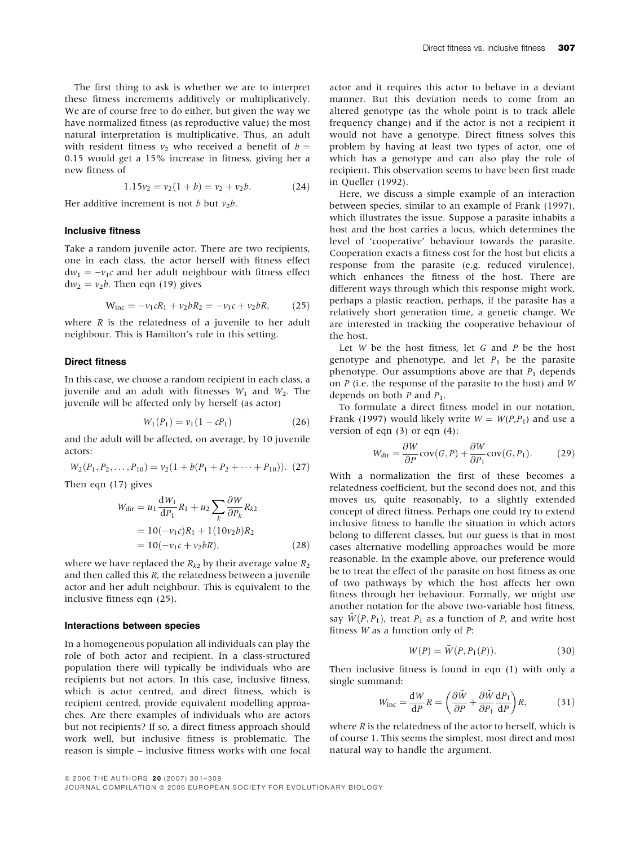The first thing to ask is whether we are to interpret these fitness increments additively or multiplicatively. We are of course free to do either, but given the way we have normalized fitness (as reproductive value) the most natural interpretation is multiplicative. Thus, an adult with resident fitness  $v_2$  who received a benefit of  $b =$ 0.15 would get a 15% increase in fitness, giving her a new fitness of

$$
1.15v_2 = v_2(1+b) = v_2 + v_2b. \tag{24}
$$

Her additive increment is not *b* but  $v_2b$ .

#### Inclusive fitness

Take a random juvenile actor. There are two recipients, one in each class, the actor herself with fitness effect  $dw_1 = -v_1c$  and her adult neighbour with fitness effect  $dw_2 = v_2b$ . Then eqn (19) gives

$$
W_{\rm inc} = -v_1 c R_1 + v_2 b R_2 = -v_1 c + v_2 b R, \qquad (25)
$$

where  $R$  is the relatedness of a juvenile to her adult neighbour. This is Hamilton's rule in this setting.

## Direct fitness

In this case, we choose a random recipient in each class, a juvenile and an adult with fitnesses  $W_1$  and  $W_2$ . The juvenile will be affected only by herself (as actor)

$$
W_1(P_1) = v_1(1 - cP_1) \tag{26}
$$

and the adult will be affected, on average, by 10 juvenile actors:

$$
W_2(P_1, P_2, \ldots, P_{10}) = v_2(1 + b(P_1 + P_2 + \cdots + P_{10})). \tag{27}
$$

Then eqn (17) gives

$$
W_{\text{dir}} = u_1 \frac{\mathrm{d}W_1}{\mathrm{d}P_1} R_1 + u_2 \sum_k \frac{\partial W}{\partial P_k} R_{k2}
$$
  
= 10(-v\_1 c)R\_1 + 1(10v\_2 b)R\_2  
= 10(-v\_1 c + v\_2 b R), (28)

where we have replaced the  $R_{k2}$  by their average value  $R_2$ and then called this R, the relatedness between a juvenile actor and her adult neighbour. This is equivalent to the inclusive fitness eqn (25).

#### Interactions between species

In a homogeneous population all individuals can play the role of both actor and recipient. In a class-structured population there will typically be individuals who are recipients but not actors. In this case, inclusive fitness, which is actor centred, and direct fitness, which is recipient centred, provide equivalent modelling approaches. Are there examples of individuals who are actors but not recipients? If so, a direct fitness approach should work well, but inclusive fitness is problematic. The reason is simple – inclusive fitness works with one focal actor and it requires this actor to behave in a deviant manner. But this deviation needs to come from an altered genotype (as the whole point is to track allele frequency change) and if the actor is not a recipient it would not have a genotype. Direct fitness solves this problem by having at least two types of actor, one of which has a genotype and can also play the role of recipient. This observation seems to have been first made in Queller (1992).

Here, we discuss a simple example of an interaction between species, similar to an example of Frank (1997), which illustrates the issue. Suppose a parasite inhabits a host and the host carries a locus, which determines the level of 'cooperative' behaviour towards the parasite. Cooperation exacts a fitness cost for the host but elicits a response from the parasite (e.g. reduced virulence), which enhances the fitness of the host. There are different ways through which this response might work, perhaps a plastic reaction, perhaps, if the parasite has a relatively short generation time, a genetic change. We are interested in tracking the cooperative behaviour of the host.

Let  $W$  be the host fitness, let  $G$  and  $P$  be the host genotype and phenotype, and let  $P_1$  be the parasite phenotype. Our assumptions above are that  $P_1$  depends on  $P$  (i.e. the response of the parasite to the host) and  $W$ depends on both  $P$  and  $P_1$ .

To formulate a direct fitness model in our notation, Frank (1997) would likely write  $W = W(P,P_1)$  and use a version of eqn (3) or eqn (4):

$$
W_{\text{dir}} = \frac{\partial W}{\partial P} \text{cov}(G, P) + \frac{\partial W}{\partial P_1} \text{cov}(G, P_1). \tag{29}
$$

With a normalization the first of these becomes a relatedness coefficient, but the second does not, and this moves us, quite reasonably, to a slightly extended concept of direct fitness. Perhaps one could try to extend inclusive fitness to handle the situation in which actors belong to different classes, but our guess is that in most cases alternative modelling approaches would be more reasonable. In the example above, our preference would be to treat the effect of the parasite on host fitness as one of two pathways by which the host affects her own fitness through her behaviour. Formally, we might use another notation for the above two-variable host fitness, say  $\tilde{W}(P, P_1)$ , treat  $P_1$  as a function of P, and write host fitness  $W$  as a function only of  $P$ :

$$
W(P) = \tilde{W}(P, P_1(P)).
$$
\n(30)

Then inclusive fitness is found in eqn (1) with only a single summand:

$$
W_{\text{inc}} = \frac{\mathrm{d}W}{\mathrm{d}P}R = \left(\frac{\partial \tilde{W}}{\partial P} + \frac{\partial \tilde{W}}{\partial P_1} \frac{\mathrm{d}P_1}{\mathrm{d}P}\right)R,\tag{31}
$$

where  $R$  is the relatedness of the actor to herself, which is of course 1. This seems the simplest, most direct and most natural way to handle the argument.

ª 2006 THE AUTHORS 2 0 (2007) 301–309

JOURNAL COMPILATION © 2006 EUROPEAN SOCIETY FOR EVOLUTIONARY BIOLOGY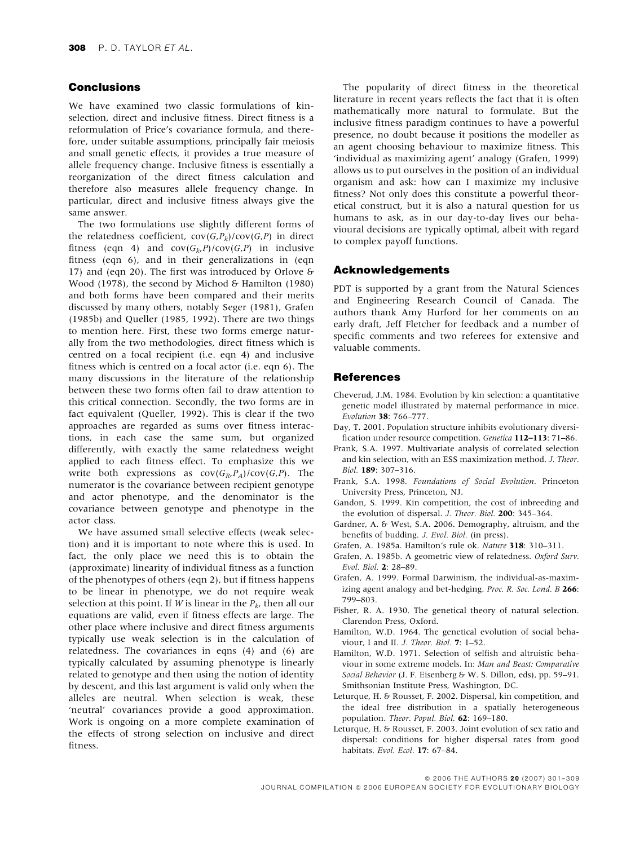# **Conclusions**

We have examined two classic formulations of kinselection, direct and inclusive fitness. Direct fitness is a reformulation of Price's covariance formula, and therefore, under suitable assumptions, principally fair meiosis and small genetic effects, it provides a true measure of allele frequency change. Inclusive fitness is essentially a reorganization of the direct fitness calculation and therefore also measures allele frequency change. In particular, direct and inclusive fitness always give the same answer.

The two formulations use slightly different forms of the relatedness coefficient,  $cov(G, P_k)/cov(G, P)$  in direct fitness (eqn 4) and  $cov(G_k, P)/cov(G, P)$  in inclusive fitness (eqn 6), and in their generalizations in (eqn 17) and (eqn 20). The first was introduced by Orlove & Wood (1978), the second by Michod & Hamilton (1980) and both forms have been compared and their merits discussed by many others, notably Seger (1981), Grafen (1985b) and Queller (1985, 1992). There are two things to mention here. First, these two forms emerge naturally from the two methodologies, direct fitness which is centred on a focal recipient (i.e. eqn 4) and inclusive fitness which is centred on a focal actor (i.e. eqn 6). The many discussions in the literature of the relationship between these two forms often fail to draw attention to this critical connection. Secondly, the two forms are in fact equivalent (Queller, 1992). This is clear if the two approaches are regarded as sums over fitness interactions, in each case the same sum, but organized differently, with exactly the same relatedness weight applied to each fitness effect. To emphasize this we write both expressions as  $cov(G_R, P_A)/cov(G, P)$ . The numerator is the covariance between recipient genotype and actor phenotype, and the denominator is the covariance between genotype and phenotype in the actor class.

We have assumed small selective effects (weak selection) and it is important to note where this is used. In fact, the only place we need this is to obtain the (approximate) linearity of individual fitness as a function of the phenotypes of others (eqn 2), but if fitness happens to be linear in phenotype, we do not require weak selection at this point. If *W* is linear in the  $P_k$ , then all our equations are valid, even if fitness effects are large. The other place where inclusive and direct fitness arguments typically use weak selection is in the calculation of relatedness. The covariances in eqns (4) and (6) are typically calculated by assuming phenotype is linearly related to genotype and then using the notion of identity by descent, and this last argument is valid only when the alleles are neutral. When selection is weak, these 'neutral' covariances provide a good approximation. Work is ongoing on a more complete examination of the effects of strong selection on inclusive and direct fitness.

The popularity of direct fitness in the theoretical literature in recent years reflects the fact that it is often mathematically more natural to formulate. But the inclusive fitness paradigm continues to have a powerful presence, no doubt because it positions the modeller as an agent choosing behaviour to maximize fitness. This 'individual as maximizing agent' analogy (Grafen, 1999) allows us to put ourselves in the position of an individual organism and ask: how can I maximize my inclusive fitness? Not only does this constitute a powerful theoretical construct, but it is also a natural question for us humans to ask, as in our day-to-day lives our behavioural decisions are typically optimal, albeit with regard to complex payoff functions.

## Acknowledgements

PDT is supported by a grant from the Natural Sciences and Engineering Research Council of Canada. The authors thank Amy Hurford for her comments on an early draft, Jeff Fletcher for feedback and a number of specific comments and two referees for extensive and valuable comments.

## References

- Cheverud, J.M. 1984. Evolution by kin selection: a quantitative genetic model illustrated by maternal performance in mice. Evolution 38: 766–777.
- Day, T. 2001. Population structure inhibits evolutionary diversification under resource competition. Genetica 112–113: 71–86.
- Frank, S.A. 1997. Multivariate analysis of correlated selection and kin selection, with an ESS maximization method. J. Theor. Biol. 189: 307–316.
- Frank, S.A. 1998. Foundations of Social Evolution. Princeton University Press, Princeton, NJ.
- Gandon, S. 1999. Kin competition, the cost of inbreeding and the evolution of dispersal. J. Theor. Biol. 200: 345–364.
- Gardner, A. & West, S.A. 2006. Demography, altruism, and the benefits of budding. J. Evol. Biol. (in press).
- Grafen, A. 1985a. Hamilton's rule ok. Nature 318: 310–311.
- Grafen, A. 1985b. A geometric view of relatedness. Oxford Surv. Evol. Biol. 2: 28–89.
- Grafen, A. 1999. Formal Darwinism, the individual-as-maximizing agent analogy and bet-hedging. Proc. R. Soc. Lond. B 266: 799–803.
- Fisher, R. A. 1930. The genetical theory of natural selection. Clarendon Press, Oxford.
- Hamilton, W.D. 1964. The genetical evolution of social behaviour, I and II. J. Theor. Biol. 7: 1–52.
- Hamilton, W.D. 1971. Selection of selfish and altruistic behaviour in some extreme models. In: Man and Beast: Comparative Social Behavior (J. F. Eisenberg & W. S. Dillon, eds), pp. 59–91. Smithsonian Institute Press, Washington, DC.
- Leturque, H. & Rousset, F. 2002. Dispersal, kin competition, and the ideal free distribution in a spatially heterogeneous population. Theor. Popul. Biol. 62: 169–180.
- Leturque, H. & Rousset, F. 2003. Joint evolution of sex ratio and dispersal: conditions for higher dispersal rates from good habitats. Evol. Ecol. 17: 67-84.